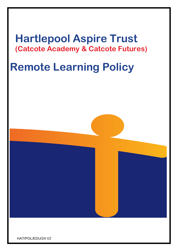# **Hartlepool Aspire Trust (Catcote Academy & Catcote Futures)**

# **Remote Learning Policy**



HAT/POL/EDU/24 V2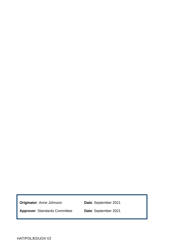**Originator**: Anne Johnson **Date**: September 2021

**Approver**: Standards Committee **Date**: September 2021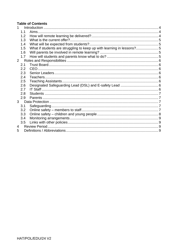#### **Table of Contents**

| 1              |     |                                                                       |  |
|----------------|-----|-----------------------------------------------------------------------|--|
|                | 1.1 |                                                                       |  |
|                | 1.2 |                                                                       |  |
|                | 1.3 |                                                                       |  |
|                | 1.4 |                                                                       |  |
|                | 1.5 | What if students are struggling to keep up with learning in lessons?5 |  |
|                | 1.6 |                                                                       |  |
|                | 1.7 |                                                                       |  |
| $\overline{2}$ |     |                                                                       |  |
|                | 2.1 |                                                                       |  |
|                | 2.2 |                                                                       |  |
|                | 2.3 |                                                                       |  |
|                | 2.4 |                                                                       |  |
|                | 2.5 |                                                                       |  |
|                | 2.6 |                                                                       |  |
|                | 2.7 |                                                                       |  |
|                | 2.8 |                                                                       |  |
|                | 2.9 |                                                                       |  |
| 3 <sup>1</sup> |     |                                                                       |  |
|                | 3.1 |                                                                       |  |
|                | 3.2 |                                                                       |  |
|                | 3.3 |                                                                       |  |
|                | 3.4 |                                                                       |  |
|                | 3.5 |                                                                       |  |
| $\overline{4}$ |     |                                                                       |  |
| 5              |     |                                                                       |  |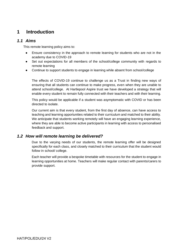# <span id="page-3-0"></span>**1 Introduction**

#### <span id="page-3-1"></span>*1.1 Aims*

This remote learning policy aims to:

- Ensure consistency in the approach to remote learning for students who are not in the academy due to COVID-19
- Set out expectations for all members of the school/college community with regards to remote learning
- Continue to support students to engage in learning while absent from school/college

The effects of COVID-19 continue to challenge us as a Trust in finding new ways of ensuring that all students can continue to make progress, even when they are unable to attend school/college. At Hartlepool Aspire trust we have developed a strategy that will enable every student to remain fully connected with their teachers and with their learning.

This policy would be applicable if a student was asymptomatic with COVID or has been directed to isolate.

Our current aim is that every student, from the first day of absence, can have access to teaching and learning opportunities related to their curriculum and matched to their ability. We anticipate that students working remotely will have an engaging learning experience, where they are able to become active participants in learning with access to personalised feedback and support.

#### <span id="page-3-2"></span>*1.2 How will remote learning be delivered?*

 Due to the varying needs of our students, the remote learning offer will be designed specifically for each class, and closely matched to their curriculum that the student would follow in school/ college.

 Each teacher will provide a bespoke timetable with resources for the student to engage in learning opportunities at home. Teachers will make regular contact with parents/carers to provide support.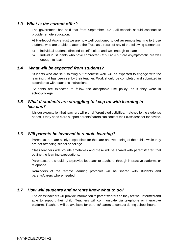#### <span id="page-4-0"></span>*1.3 What is the current offer?*

The government has said that from September 2021, all schools should continue to provide remote education.

At Hartlepool Aspire trust we are now well positioned to deliver remote learning to those students who are unable to attend the Trust as a result of any of the following scenarios:

- a) individual students directed to self-isolate and well enough to learn
- <span id="page-4-1"></span>b) Individual students who have contracted COVID-19 but are asymptomatic are well enough to learn

#### *1.4 What will be expected from students?*

Students who are self-isolating but otherwise well, will be expected to engage with the learning that has been set by their teacher. Work should be completed and submitted in accordance with teacher's instructions,

 Students are expected to follow the acceptable use policy, as if they were in school/college.

#### <span id="page-4-2"></span>*1.5 What if students are struggling to keep up with learning in lessons?*

It is our expectation that teachers will plan differentiated activities, matched to the student's needs, if they need extra support parents/carers can contact their class teacher for advice.

#### <span id="page-4-3"></span>*1.6 Will parents be involved in remote learning?*

Parents/carers are solely responsible for the care and well-being of their child while they are not attending school or college.

Class teachers will provide timetables and these will be shared with parents/carer, that outline the learning expectations.

 Parents/carers should try to provide feedback to teachers, through interactive platforms or telephone.

Reminders of the remote learning protocols will be shared with students and parents/carers where needed.

#### <span id="page-4-4"></span>*1.7 How will students and parents know what to do?*

The class teachers will provide information to parents/carers so they are well informed and able to support their child. Teachers will communicate via telephone or interactive platform. Teachers will be available for parents/ carers to contact during school hours.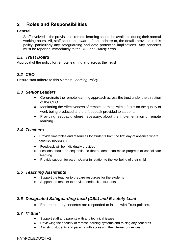# <span id="page-5-0"></span>**2 Roles and Responsibilities**

#### **General**

Staff involved in the provision of remote learning should be available during their normal working hours. All, staff should be aware of, and adhere to, the details provided in this policy, particularly any safeguarding and data protection implications. Any concerns must be reported immediately to the *DSL* or *E-safety Lead*.

#### <span id="page-5-1"></span>*2.1 Trust Board*

Approval of the policy for remote learning and across the Trust

#### <span id="page-5-2"></span>*2.2 CEO*

Ensure staff adhere to this *Remote Learning Policy*

#### <span id="page-5-3"></span>*2.3 Senior Leaders*

- Co-ordinate the remote learning approach across the trust under the direction of the CEO
- Monitoring the effectiveness of remote learning, with a focus on the quality of work being produced and the feedback provided to students
- Providing feedback, where necessary, about the implementation of remote learning

#### <span id="page-5-4"></span>*2.4 Teachers*

- Provide timetables and resources for students from the first day of absence where deemed necessary
- **Feedback will be individually provided**
- Lessons should be sequential so that students can make progress or consolidate learning.
- Provide support for parents/carer in relation to the wellbeing of their child

#### <span id="page-5-5"></span>*2.5 Teaching Assistants*

- Support the teacher to prepare resources for the students
- Support the teacher to provide feedback to students

# <span id="page-5-6"></span>*2.6 Designated Safeguarding Lead (DSL) and E-safety Lead*

● Ensure that any concerns are responded to in line with Trust policies.

#### <span id="page-5-7"></span>*2.7 IT Staff*

- Support staff and parents with any technical issues
- Reviewing the security of remote learning systems and raising any concerns
- Assisting students and parents with accessing the internet or devices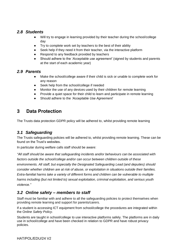#### <span id="page-6-0"></span>*2.8 Students*

- Will try to engage in learning provided by their teacher during the school/college day
- Try to complete work set by teachers to the best of their ability
- Seek help if they need it from their teacher, via the interactive platform
- Respond to any feedback provided by teachers
- Should adhere to the '*Acceptable use agreement'* (signed by students and parents at the start of each academic year)

#### <span id="page-6-1"></span>*2.9 Parents*

- Make the school/college aware if their child is sick or unable to complete work for any reason
- Seek help from the school/college if needed
- Monitor the use of any devices used by their children for remote learning
- Provide a quiet space for their child to learn and participate in remote learning
- Should adhere to the *'Acceptable Use Agreement*'

# <span id="page-6-2"></span>**3 Data Protection**

The Trusts data protection GDPR policy will be adhered to, whilst providing remote learning

# <span id="page-6-3"></span>*3.1 Safeguarding*

The Trusts safeguarding policies will be adhered to, whilst providing remote learning. These can be found on the Trust's websites.

In particular during welfare calls staff should be aware:

*"All staff should be aware that safeguarding incidents and/or behaviours can be associated with*  factors outside the school/college and/or can occur between children outside of these *environments. All staff, but especially the Designated Safeguarding Lead (and deputies) should consider whether children are at risk of abuse, or exploitation in situations outside their families. Extra-familial harms take a variety of different forms and children can be vulnerable to multiple harms including (but not limited to) sexual exploitation, criminal exploitation, and serious youth violence."*

# <span id="page-6-4"></span>*3.2 Online safety – members to staff*

Staff must be familiar with and adhere to all the safeguarding policies to protect themselves when providing remote learning and support for parents/carers.

If a student is accessing ICT equipment from school/college the procedures are integrated within the O*nline Safety Policy*.

Students are taught in school/college to use interactive platforms safely. The platforms are in daily use in school/college and have been checked in relation to GDPR and have robust privacy policies.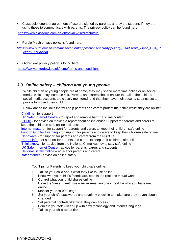• Class dojo letters of agreement of use are signed by parents, and by the student, if they are using these to communicate with parents. The privacy policy can be found here:

<https://www.classdojo.com/en-gb/privacy/?redirect=true>

• Purple Mash privacy policy is found here:

*[https://www.purplemash.com/mashcontent/applications/security/privacy\\_usa/Purple\\_Mash\\_USA\\_P](https://www.purplemash.com/mashcontent/applications/security/privacy_usa/Purple_Mash_USA_Privacy_Policy.pdf) [rivacy\\_Policy.pdf](https://www.purplemash.com/mashcontent/applications/security/privacy_usa/Purple_Mash_USA_Privacy_Policy.pdf)*

• Oxford owl privacy policy is found here:

<https://www.oxfordowl.co.uk/home/terms-and-conditions>

#### <span id="page-7-0"></span>*3.3 Online safety – children and young people*

 While children or young people are at home, they may spend more time online or on social media, which may increase risk. Parents and carers should ensure that all of their child's social media accounts are closely monitored, and that they have their security settings set to private to protect their child.

Below are online links that will help parents and carers protect their child whilst they are online:

[Childline](https://www.childline.org.uk/?utm_source=google&utm_medium=cpc&utm_campaign=UK_GO_S_B_BND_Grant_Childline_Information&utm_term=role_of_childline&gclsrc=aw.ds&&gclid=EAIaIQobChMIlfLRh-ez6AIVRrDtCh1N9QR2EAAYASAAEgLc-vD_BwE&gclsrc=aw.ds) - for support

[UK Safer Internet Centre -](https://reportharmfulcontent.com/) to report and remove harmful online content [CEOP](https://www.ceop.police.uk/safety-centre/) - for advice on making a report about online abuse Support for parents and carers to keep their children safe online includes: [Internet matters -](https://www.internetmatters.org/?gclid=EAIaIQobChMIktuA5LWK2wIVRYXVCh2afg2aEAAYASAAEgIJ5vD_BwE) for support for parents and carers to keep their children safe online [London Grid for Learning](https://www.lgfl.net/online-safety/default.aspx) - for support for parents and carers to keep their children safe online [Net-aware](https://www.net-aware.org.uk/) - for support for parents and carers from the NSPCC [Parent info](https://parentinfo.org/) - for support for parents and carers to keep their children safe online [Thinkuknow](https://www.thinkuknow.co.uk/) - for advice from the National Crime Agency to stay safe online [UK Safer Internet Centre](https://www.saferinternet.org.uk/advice-centre/parents-and-carers) - advice for parents, carers and students [National Safety Online](https://nationalonlinesafety.com/) – advice for parents and carers [saferinternet](https://www.saferinternet.org.uk/) - advice on online safety

Top Tips for Parents to keep your child safe online:

- 1. Talk to your child about what they like to use online
- 2. Know who your child's friends are, both in the real and virtual world
- 3. Control what your child shares online
- 4. Have the "never meet" rule never meet anyone in real life who you have met online
- 5. Monitor your child's usage
- 6. Set your child's passwords and regularly check in to make sure they haven't been changed
- 7. Set parental controls/filter what they can access
- 8. Educate yourself keep up with new technology and internet language
- 9. Talk to your child about risk